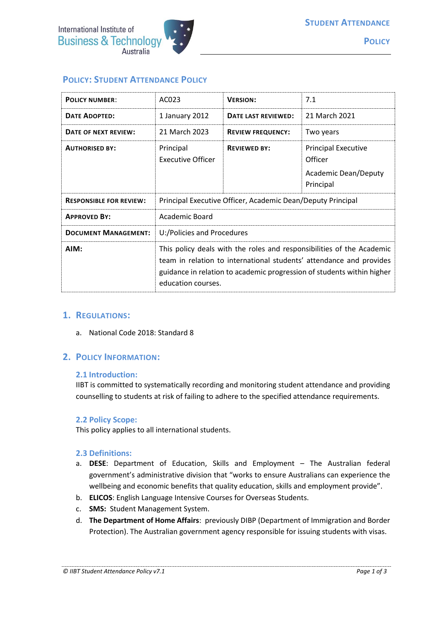

# **POLICY: STUDENT ATTENDANCE POLICY**

| <b>POLICY NUMBER:</b>          | AC023                                                                                                                                                                                                                                        | <b>VERSION:</b>          | 7.1                                                                               |
|--------------------------------|----------------------------------------------------------------------------------------------------------------------------------------------------------------------------------------------------------------------------------------------|--------------------------|-----------------------------------------------------------------------------------|
| <b>DATE ADOPTED:</b>           | 1 January 2012                                                                                                                                                                                                                               | DATE LAST REVIEWED:      | 21 March 2021                                                                     |
| DATE OF NEXT REVIEW:           | 21 March 2023                                                                                                                                                                                                                                | <b>REVIEW FREQUENCY:</b> | Two years                                                                         |
| <b>AUTHORISED BY:</b>          | Principal<br><b>Executive Officer</b>                                                                                                                                                                                                        | <b>REVIEWED BY:</b>      | <b>Principal Executive</b><br>Officer<br><b>Academic Dean/Deputy</b><br>Principal |
| <b>RESPONSIBLE FOR REVIEW:</b> | Principal Executive Officer, Academic Dean/Deputy Principal                                                                                                                                                                                  |                          |                                                                                   |
| <b>APPROVED BY:</b>            | Academic Board                                                                                                                                                                                                                               |                          |                                                                                   |
| <b>DOCUMENT MANAGEMENT:</b>    | U:/Policies and Procedures                                                                                                                                                                                                                   |                          |                                                                                   |
| AIM:                           | This policy deals with the roles and responsibilities of the Academic<br>team in relation to international students' attendance and provides<br>guidance in relation to academic progression of students within higher<br>education courses. |                          |                                                                                   |

#### **1. REGULATIONS:**

a. National Code 2018: Standard 8

### **2. POLICY INFORMATION:**

#### **2.1 Introduction:**

IIBT is committed to systematically recording and monitoring student attendance and providing counselling to students at risk of failing to adhere to the specified attendance requirements.

#### **2.2 Policy Scope:**

This policy applies to all international students.

#### **2.3 Definitions:**

- a. **DESE**: Department of Education, Skills and Employment The Australian federal government's administrative division that "works to ensure Australians can experience the wellbeing and economic benefits that quality education, skills and employment provide".
- b. **ELICOS**: English Language Intensive Courses for Overseas Students.
- c. **SMS:** Student Management System.
- d. **The Department of Home Affairs**: previously DIBP (Department of Immigration and Border Protection). The Australian government agency responsible for issuing students with visas.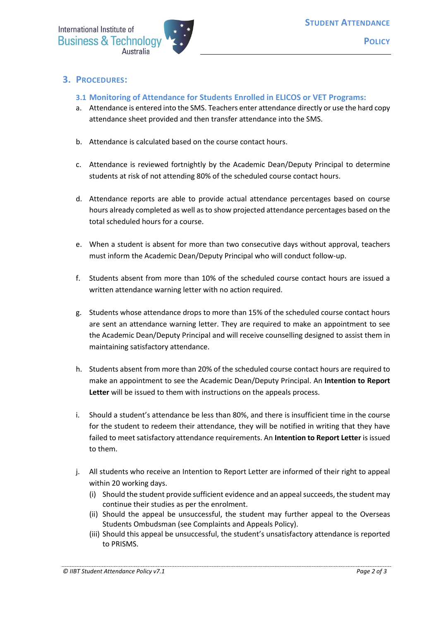## **3. PROCEDURES:**

- **3.1 Monitoring of Attendance for Students Enrolled in ELICOS or VET Programs:**
- a. Attendance is entered into the SMS. Teachers enter attendance directly or use the hard copy attendance sheet provided and then transfer attendance into the SMS.
- b. Attendance is calculated based on the course contact hours.
- c. Attendance is reviewed fortnightly by the Academic Dean/Deputy Principal to determine students at risk of not attending 80% of the scheduled course contact hours.
- d. Attendance reports are able to provide actual attendance percentages based on course hours already completed as well as to show projected attendance percentages based on the total scheduled hours for a course.
- e. When a student is absent for more than two consecutive days without approval, teachers must inform the Academic Dean/Deputy Principal who will conduct follow-up.
- f. Students absent from more than 10% of the scheduled course contact hours are issued a written attendance warning letter with no action required.
- g. Students whose attendance drops to more than 15% of the scheduled course contact hours are sent an attendance warning letter. They are required to make an appointment to see the Academic Dean/Deputy Principal and will receive counselling designed to assist them in maintaining satisfactory attendance.
- h. Students absent from more than 20% of the scheduled course contact hours are required to make an appointment to see the Academic Dean/Deputy Principal. An **Intention to Report Letter** will be issued to them with instructions on the appeals process.
- i. Should a student's attendance be less than 80%, and there is insufficient time in the course for the student to redeem their attendance, they will be notified in writing that they have failed to meet satisfactory attendance requirements. An **Intention to Report Letter** is issued to them.
- j. All students who receive an Intention to Report Letter are informed of their right to appeal within 20 working days.
	- (i) Should the student provide sufficient evidence and an appeal succeeds, the student may continue their studies as per the enrolment.
	- (ii) Should the appeal be unsuccessful, the student may further appeal to the Overseas Students Ombudsman (see Complaints and Appeals Policy).
	- (iii) Should this appeal be unsuccessful, the student's unsatisfactory attendance is reported to PRISMS.